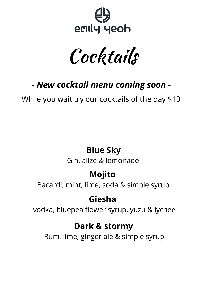

Cocktails

# *- New cocktail menu coming soon -*

While you wait try our cocktails of the day \$10

### **Blue Sky**

Gin, alize & lemonade

# **Mojito**

Bacardi, mint, lime, soda & simple syrup

## **Giesha**

vodka, bluepea flower syrup, yuzu & lychee

### **Dark & stormy**

Rum, lime, ginger ale & simple syrup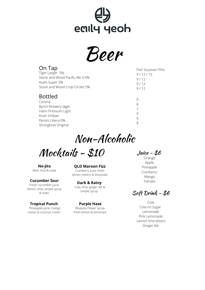

Beer

| On Tap                                                                                                                           | Pot/ Scooner/ Pint         |
|----------------------------------------------------------------------------------------------------------------------------------|----------------------------|
| Tiger Larger 5%                                                                                                                  | 9/12/15                    |
| Stone and Wood Pacific Ale 4.4%                                                                                                  | 9/12                       |
| Asahi Super 5%                                                                                                                   | 9/12                       |
| Stone and Wood Crop Circles 5%                                                                                                   | 9/12                       |
| <b>Bottled</b><br>Corona<br>Byron Brewery lager<br>Hahn Premium Light<br>Kiren Ichiban<br>Peroni Libera 0%<br>Strongbow Original | 9<br>8<br>7<br>9<br>6<br>8 |

Non-Alcoholic

Mocktails - \$10

**No-jito** Mint, lime & soda

#### **Cucumber Sour**

Fresh cucumber juice, lemon, lime, simple syrup & soda

**Tropical Punch** Pineapple juice, mango nectar & coconut cream

**QLD Maroon Fizz** Cranberry juice, fresh lemon, bitters & lemonaid

**Dark & Rainy** Cola, lime, ginger ale & simple syrup

**Purple Haze** Bluepea Flower syrup, fresh lemon & lemonaid Juice - \$6

Orange Apple Pineapple Cranberry Mango Tomato

Soft Drink - \$6

Cola Cola no Sugar Lemonade Pink Lemonade Lemon lime bitters Ginger Ale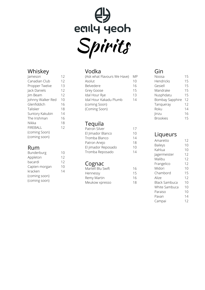

#### Whiskey

| Jameson           | 12             |
|-------------------|----------------|
| Canadian Club     | 12             |
| Propper Twelve    | 13             |
| Jack Daniels      | 12             |
| Jim Beam          | 12             |
| Johnny Walker Red | 1 <sup>C</sup> |
| Glenfiddich       | 16             |
| Talisker          | 18             |
| Suntory Kakubin   | 14             |
| The Irishman      | 16             |
| Nikka             | 18             |
| <b>FIREBALL</b>   | 12             |
| (coming Soon)     |                |
| (coming soon)     |                |

#### R u m

| Bunderburg    | 1 ( |
|---------------|-----|
| Appleton      | 12  |
| bacardi       | 12  |
| Capten morgan | 1(  |
| kracken       | 14  |
| (coming soon) |     |
| (coming soon) |     |

#### Vodka

| 12<br>12<br>13<br>12<br>12<br>10<br>16<br>18<br>14<br>16 | (Ask what Flavours We Have)<br>Asolut<br>Belvedere<br>Grey Goose<br>Idal Hour Rye<br>Idal Hour Kakadu Plumb<br>(coming Soon)<br>(Coming Soon) | <b>MP</b><br>10<br>16<br>15<br>13<br>14 | Noosa<br>Hendric<br>Gesiell<br>Mandra<br>Nuspho<br>Bombay<br>Tanque<br>Roku<br>linzu<br><b>Brookie</b> |
|----------------------------------------------------------|-----------------------------------------------------------------------------------------------------------------------------------------------|-----------------------------------------|--------------------------------------------------------------------------------------------------------|
| 18<br>12<br>10<br>12                                     | Tequila<br>Patron Silver<br>El Jimador Blanco<br>Tromba Blanco<br>Patron Anejo<br>El jimador Reposado<br>Tromba Reposado                      | 17<br>10<br>14<br>18<br>10<br>14        | Liqu<br>Amaret<br><b>Baileys</b><br>Kahlua<br>Jagerme<br>Malibu                                        |
| 12<br>10<br>14                                           | Cognac<br>Martell Blu Swift<br>Hennessy<br>Remy Martin<br>Meukow xpresso                                                                      | 16<br>15<br>16<br>18                    | Frangel<br>Midori<br>Chamb<br>Alize<br><b>Black Sa</b><br>White S<br>Paraiso<br>Pavan<br>Campai        |

#### T e q uila

| Patron Silver       |  |
|---------------------|--|
| El Jimador Blanco   |  |
| Tromba Blanco       |  |
| Patron Anejo        |  |
| El jimador Reposado |  |
| Tromba Reposado     |  |

#### Cognac

| Martell Blu Swift |  |
|-------------------|--|
| Hennessy          |  |
| Remy Martin       |  |
| Meukow xpresso    |  |

#### Gin

| Noosa                  | 15 |
|------------------------|----|
| <b>Hendricks</b>       | 15 |
| Gesiell                | 15 |
| Mandrake               | 15 |
| Nusphdatu              | 15 |
| <b>Bombay Sapphire</b> | 12 |
| Tangueray              | 12 |
| Roku                   | 14 |
| linzu                  | 16 |
| <b>Brookies</b>        | 15 |
|                        |    |

#### Liqueurs

| Amaretto      | 12 |
|---------------|----|
| Baileys       | 10 |
| Kahlua        | 10 |
| Jagermeister  | 12 |
| Malibu        | 12 |
| Frangelico    | 12 |
| Midori        | 10 |
| Chambord      | 15 |
| Alize         | 12 |
| Black Sambuca | 10 |
| White Sambuca | 10 |
| Paraiso       | 10 |
| Pavan         | 14 |
| Campai        | 12 |
|               |    |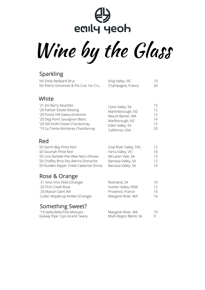# 4 eaily yeoh

Wine by the Glass

#### Sparkling

| NV Emily Redbank Brut                   | King Valley, VIC  | 10  |
|-----------------------------------------|-------------------|-----|
| NV Pierre Gimonnet & Fils Cuis 1 er Cru | Champagne, France | -20 |
|                                         |                   |     |

#### White

| '21 Jim Barry Assyrtiko          | Clare Valley, SA  | 15              |
|----------------------------------|-------------------|-----------------|
| '20 Palliser Estate Riesling     | Martinborough, NZ | 12 <sup>°</sup> |
| '20 Forest Hill Gewurztraminer   | Mount Barker, WA  | 12 <sup>°</sup> |
| '20 Dog Point Sauvignon Blanc    | Marlborough, NZ   | 14              |
| '20 Hill Smith Estate Chardonnay | Eden Valley, SA   | 12 <sup>7</sup> |
| '19 La Crema Monterey Chardonnay | California, USA   | $20^{\circ}$    |

#### Red

| '20 Storm Bay Pinot Noir                | Coal River Valley, TAS | 12              |
|-----------------------------------------|------------------------|-----------------|
| '20 Soumah Pinot Noir                   | Yarra Valley, VIC      | 16              |
| '20 Lino Ramble Pee Wee Nero d'Avola    | McLaren Vale, SA       | 13              |
| '20 Chaffey Bros Pax Aterna Grenache    | Barossa Valley, SA     | 12 <sup>1</sup> |
| '20 Rusden Ripper Creek Cabernet Shiraz | Barossa Valley, SA     | 14              |
|                                         |                        |                 |

#### Rose & Orange

| 10                                                                            |
|-------------------------------------------------------------------------------|
| 12                                                                            |
| 16                                                                            |
| 16                                                                            |
| Riverland, SA<br>Hunter Valley, NSW<br>Provence, France<br>Margaret River, WA |

#### Something Sweet?

| '19 stella Bella Pink Moscato | Margaret River, WA    | 10 |
|-------------------------------|-----------------------|----|
| Galway Pipe 12yo Grand Twany  | Multi-Regon Blend, SA | 9  |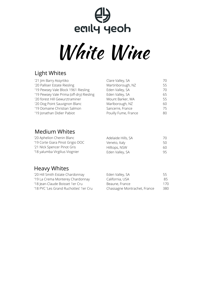# $\bigoplus$ <br>eaily yeoh White Wine

#### Light Whites

| Clare Valley, SA     | 70 |
|----------------------|----|
| Martinborough, NZ    | 55 |
| Eden Valley, SA      | 70 |
| Eden Valley, SA      | 65 |
| Mount Barker, WA     | 55 |
| Marlborough, NZ      | 60 |
| Sancerre, France     | 75 |
| Pouilly Fume, France | 80 |
|                      |    |

#### Medium Whites

| '20 Aphelion Chenin Blanc        | Adelaide Hills, SA | 70. |
|----------------------------------|--------------------|-----|
| '19 Corte Giara Pinot Grigio DOC | Veneto, Italy      | 50. |
| '21 Nick Spencer Pinot Gris      | Hilltops, NSW      | 60. |
| '18 yalumba Virgilius Viognier   | Eden Valley, SA    | 95  |

#### Heavy Whites

| '20 Hill Smith Estate Chardonnay      | Eden Valley, SA              | 55  |
|---------------------------------------|------------------------------|-----|
| '19 La Crema Monterey Chardonnay      | California, USA              | 85. |
| '18 Jean-Claude Boisset 1er Cru       | Beaune, France               | 170 |
| '18 PYC 'Les Grand Ruchottes' 1er Cru | Chassagne Montrachet, France | 380 |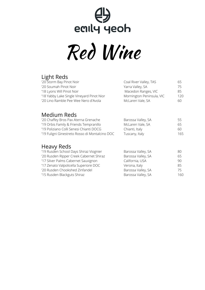# eally yeoh Red Wine

#### Light Reds

| '20 Storm Bay Pinot Noir                  | Coal River Valley, TAS    | 65   |
|-------------------------------------------|---------------------------|------|
| '20 Soumah Pinot Noir                     | Yarra Valley, SA          | 75   |
| '18 Lyons Will Pinot Noir                 | Macedon Ranges, VIC       | 85   |
| '18 Yabby Lake Single Vineyard Pinot Nior | Mornington Peninsula, VIC | 120. |
| '20 Lino Ramble Pee Wee Nero d'Avola      | McLaren Vale, SA          | 60   |
|                                           |                           |      |

#### Medium Reds

| '20 Chaffey Bros Pax Aterna Grenache           | Barossa Valley, SA | 55   |
|------------------------------------------------|--------------------|------|
| '19 Orbis Family & Friends Tempranillo         | McLaren Vale, SA   | 65   |
| '19 Poliziano Colli Senesi Chianti DOCG        | Chianti, Italy     | 60.  |
| '19 Fuligni Ginestreto Rosso di Montalcino DOC | Tuscany, Italy     | 165. |
|                                                |                    |      |

#### Heavy Reds

| '19 Rusden School Days Shiraz Viognier  | Barossa Valley, SA | 80   |
|-----------------------------------------|--------------------|------|
| '20 Rusden Ripper Creek Cabernet Shiraz | Barossa Valley, SA | 65   |
| '17 Silver Palms Cabernet Sauvignon     | California, USA    | 90   |
| '17 Zenato Valpolicella Superiore DOC   | Verona, Italy      | 85   |
| '20 Rusden Chookshed Zinfandel          | Barossa Valley, SA | 75   |
| '15 Rusden Blackguts Shiraz             | Barossa Valley, SA | 160. |
|                                         |                    |      |